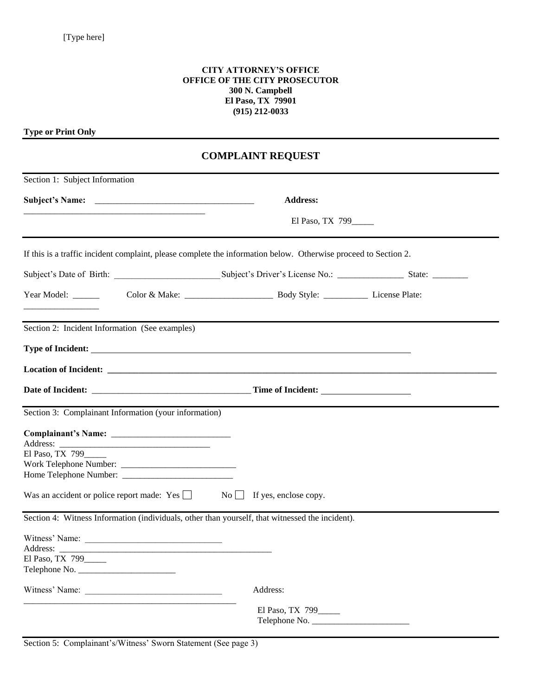## **CITY ATTORNEY'S OFFICE OFFICE OF THE CITY PROSECUTOR 300 N. Campbell El Paso, TX 79901 (915) 212-0033**

**Type or Print Only**

## **COMPLAINT REQUEST**

| Section 1: Subject Information                                                                  |                                                                                                                 |
|-------------------------------------------------------------------------------------------------|-----------------------------------------------------------------------------------------------------------------|
|                                                                                                 | <b>Address:</b>                                                                                                 |
|                                                                                                 | El Paso, TX 799                                                                                                 |
|                                                                                                 | If this is a traffic incident complaint, please complete the information below. Otherwise proceed to Section 2. |
|                                                                                                 |                                                                                                                 |
| Year Model: ______                                                                              |                                                                                                                 |
| Section 2: Incident Information (See examples)                                                  |                                                                                                                 |
|                                                                                                 |                                                                                                                 |
|                                                                                                 |                                                                                                                 |
|                                                                                                 |                                                                                                                 |
| Section 3: Complainant Information (your information)                                           |                                                                                                                 |
|                                                                                                 |                                                                                                                 |
| El Paso, TX 799                                                                                 |                                                                                                                 |
|                                                                                                 |                                                                                                                 |
|                                                                                                 |                                                                                                                 |
| Was an accident or police report made: $Yes \Box$ No $\Box$ If yes, enclose copy.               |                                                                                                                 |
| Section 4: Witness Information (individuals, other than yourself, that witnessed the incident). |                                                                                                                 |
|                                                                                                 |                                                                                                                 |
|                                                                                                 |                                                                                                                 |
| El Paso, TX 799                                                                                 |                                                                                                                 |
|                                                                                                 |                                                                                                                 |
|                                                                                                 | Address:                                                                                                        |
|                                                                                                 | El Paso, TX 799_____                                                                                            |
|                                                                                                 |                                                                                                                 |